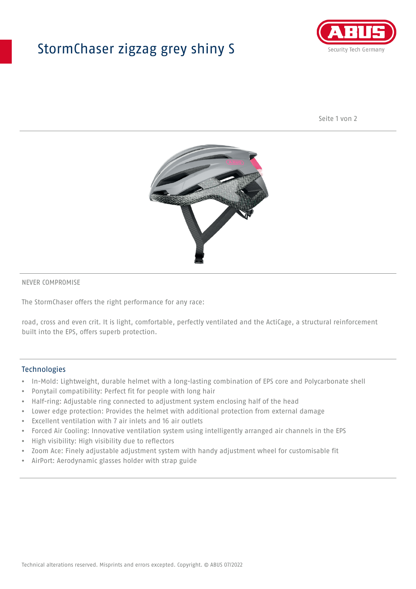## StormChaser zigzag grey shiny S



Seite 1 von 2



#### NEVER COMPROMISE

The StormChaser offers the right performance for any race:

road, cross and even crit. It is light, comfortable, perfectly ventilated and the ActiCage, a structural reinforcement built into the EPS, offers superb protection.

#### **Technologies**

- In-Mold: Lightweight, durable helmet with a long-lasting combination of EPS core and Polycarbonate shell
- Ponytail compatibility: Perfect fit for people with long hair
- Half-ring: Adjustable ring connected to adjustment system enclosing half of the head
- Lower edge protection: Provides the helmet with additional protection from external damage
- Excellent ventilation with 7 air inlets and 16 air outlets
- Forced Air Cooling: Innovative ventilation system using intelligently arranged air channels in the EPS
- High visibility: High visibility due to reflectors
- Zoom Ace: Finely adjustable adjustment system with handy adjustment wheel for customisable fit
- AirPort: Aerodynamic glasses holder with strap guide